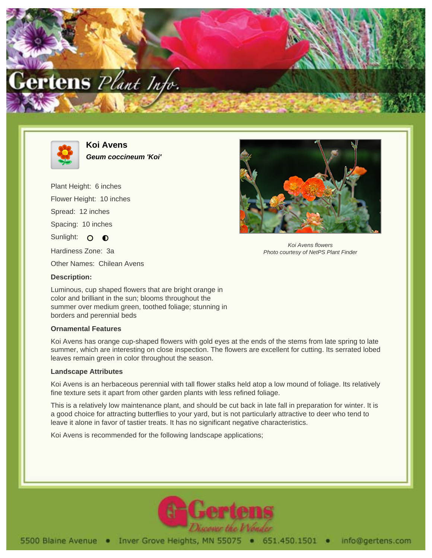



**Koi Avens Geum coccineum 'Koi'**

Plant Height: 6 inches Flower Height: 10 inches Spread: 12 inches Spacing: 10 inches Sunlight: O **O** Hardiness Zone: 3a Other Names: Chilean Avens



Koi Avens flowers Photo courtesy of NetPS Plant Finder

## **Description:**

Luminous, cup shaped flowers that are bright orange in color and brilliant in the sun; blooms throughout the summer over medium green, toothed foliage; stunning in borders and perennial beds

## **Ornamental Features**

Koi Avens has orange cup-shaped flowers with gold eyes at the ends of the stems from late spring to late summer, which are interesting on close inspection. The flowers are excellent for cutting. Its serrated lobed leaves remain green in color throughout the season.

## **Landscape Attributes**

Koi Avens is an herbaceous perennial with tall flower stalks held atop a low mound of foliage. Its relatively fine texture sets it apart from other garden plants with less refined foliage.

This is a relatively low maintenance plant, and should be cut back in late fall in preparation for winter. It is a good choice for attracting butterflies to your yard, but is not particularly attractive to deer who tend to leave it alone in favor of tastier treats. It has no significant negative characteristics.

Koi Avens is recommended for the following landscape applications;